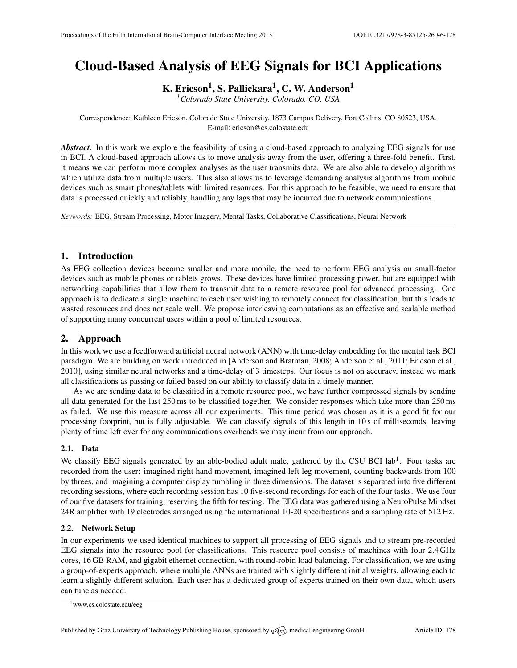# Cloud-Based Analysis of EEG Signals for BCI Applications

K. Ericson<sup>1</sup>, S. Pallickara<sup>1</sup>, C. W. Anderson<sup>1</sup>

*<sup>1</sup>Colorado State University, Colorado, CO, USA*

Correspondence: Kathleen Ericson, Colorado State University, 1873 Campus Delivery, Fort Collins, CO 80523, USA. E-mail: [ericson@cs.colostate.edu](mailto:ericson@cs.colostate.edu)

*Abstract.* In this work we explore the feasibility of using a cloud-based approach to analyzing EEG signals for use in BCI. A cloud-based approach allows us to move analysis away from the user, offering a three-fold benefit. First, it means we can perform more complex analyses as the user transmits data. We are also able to develop algorithms which utilize data from multiple users. This also allows us to leverage demanding analysis algorithms from mobile devices such as smart phones/tablets with limited resources. For this approach to be feasible, we need to ensure that data is processed quickly and reliably, handling any lags that may be incurred due to network communications.

*Keywords:* EEG, Stream Processing, Motor Imagery, Mental Tasks, Collaborative Classifications, Neural Network

# 1. Introduction

As EEG collection devices become smaller and more mobile, the need to perform EEG analysis on small-factor devices such as mobile phones or tablets grows. These devices have limited processing power, but are equipped with networking capabilities that allow them to transmit data to a remote resource pool for advanced processing. One approach is to dedicate a single machine to each user wishing to remotely connect for classification, but this leads to wasted resources and does not scale well. We propose interleaving computations as an effective and scalable method of supporting many concurrent users within a pool of limited resources.

# 2. Approach

In this work we use a feedforward artificial neural network (ANN) with time-delay embedding for the mental task BCI paradigm. We are building on work introduced in [\[Anderson and Bratman,](#page-1-0) [2008;](#page-1-0) [Anderson et al.,](#page-1-1) [2011;](#page-1-1) [Ericson et al.,](#page-1-2) [2010\]](#page-1-2), using similar neural networks and a time-delay of 3 timesteps. Our focus is not on accuracy, instead we mark all classifications as passing or failed based on our ability to classify data in a timely manner.

As we are sending data to be classified in a remote resource pool, we have further compressed signals by sending all data generated for the last 250 ms to be classified together. We consider responses which take more than 250 ms as failed. We use this measure across all our experiments. This time period was chosen as it is a good fit for our processing footprint, but is fully adjustable. We can classify signals of this length in 10 s of milliseconds, leaving plenty of time left over for any communications overheads we may incur from our approach.

### 2.1. Data

We classify EEG signals generated by an able-bodied adult male, gathered by the CSU BCI lab<sup>[1](#page-0-0)</sup>. Four tasks are recorded from the user: imagined right hand movement, imagined left leg movement, counting backwards from 100 by threes, and imagining a computer display tumbling in three dimensions. The dataset is separated into five different recording sessions, where each recording session has 10 five-second recordings for each of the four tasks. We use four of our five datasets for training, reserving the fifth for testing. The EEG data was gathered using a NeuroPulse Mindset 24R amplifier with 19 electrodes arranged using the international 10-20 specifications and a sampling rate of 512 Hz.

#### 2.2. Network Setup

In our experiments we used identical machines to support all processing of EEG signals and to stream pre-recorded EEG signals into the resource pool for classifications. This resource pool consists of machines with four 2.4 GHz cores, 16 GB RAM, and gigabit ethernet connection, with round-robin load balancing. For classification, we are using a group-of-experts approach, where multiple ANNs are trained with slightly different initial weights, allowing each to learn a slightly different solution. Each user has a dedicated group of experts trained on their own data, which users can tune as needed.

<span id="page-0-0"></span><sup>1</sup><www.cs.colostate.edu/eeg>